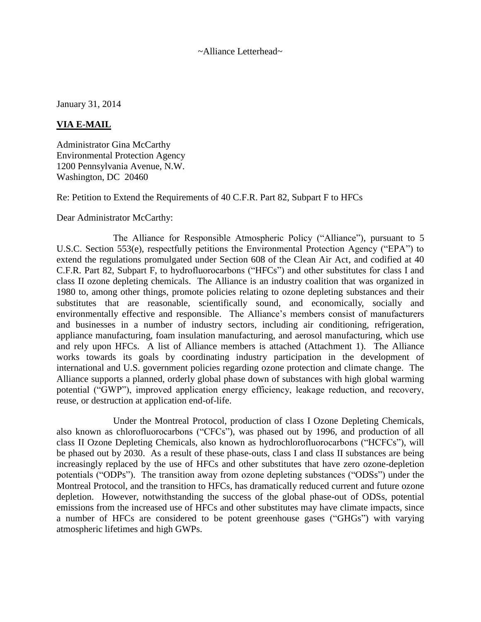~Alliance Letterhead~

January 31, 2014

## **VIA E-MAIL**

Administrator Gina McCarthy Environmental Protection Agency 1200 Pennsylvania Avenue, N.W. Washington, DC 20460

Re: Petition to Extend the Requirements of 40 C.F.R. Part 82, Subpart F to HFCs

Dear Administrator McCarthy:

The Alliance for Responsible Atmospheric Policy ("Alliance"), pursuant to 5 U.S.C. Section 553(e), respectfully petitions the Environmental Protection Agency ("EPA") to extend the regulations promulgated under Section 608 of the Clean Air Act, and codified at 40 C.F.R. Part 82, Subpart F, to hydrofluorocarbons ("HFCs") and other substitutes for class I and class II ozone depleting chemicals. The Alliance is an industry coalition that was organized in 1980 to, among other things, promote policies relating to ozone depleting substances and their substitutes that are reasonable, scientifically sound, and economically, socially and environmentally effective and responsible. The Alliance's members consist of manufacturers and businesses in a number of industry sectors, including air conditioning, refrigeration, appliance manufacturing, foam insulation manufacturing, and aerosol manufacturing, which use and rely upon HFCs. A list of Alliance members is attached (Attachment 1). The Alliance works towards its goals by coordinating industry participation in the development of international and U.S. government policies regarding ozone protection and climate change. The Alliance supports a planned, orderly global phase down of substances with high global warming potential ("GWP"), improved application energy efficiency, leakage reduction, and recovery, reuse, or destruction at application end-of-life.

Under the Montreal Protocol, production of class I Ozone Depleting Chemicals, also known as chlorofluorocarbons ("CFCs"), was phased out by 1996, and production of all class II Ozone Depleting Chemicals, also known as hydrochlorofluorocarbons ("HCFCs"), will be phased out by 2030. As a result of these phase-outs, class I and class II substances are being increasingly replaced by the use of HFCs and other substitutes that have zero ozone-depletion potentials ("ODPs"). The transition away from ozone depleting substances ("ODSs") under the Montreal Protocol, and the transition to HFCs, has dramatically reduced current and future ozone depletion. However, notwithstanding the success of the global phase-out of ODSs, potential emissions from the increased use of HFCs and other substitutes may have climate impacts, since a number of HFCs are considered to be potent greenhouse gases ("GHGs") with varying atmospheric lifetimes and high GWPs.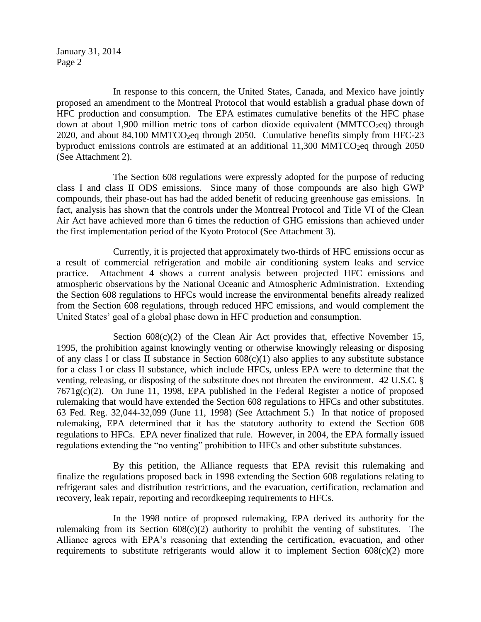January 31, 2014 Page 2

In response to this concern, the United States, Canada, and Mexico have jointly proposed an amendment to the Montreal Protocol that would establish a gradual phase down of HFC production and consumption. The EPA estimates cumulative benefits of the HFC phase down at about 1,900 million metric tons of carbon dioxide equivalent ( $MMTCO<sub>2</sub>eq$ ) through 2020, and about 84,100 MMTCO<sub>2</sub>eq through 2050. Cumulative benefits simply from HFC-23 byproduct emissions controls are estimated at an additional  $11,300$  MMTCO<sub>2</sub>eq through 2050 (See Attachment 2).

The Section 608 regulations were expressly adopted for the purpose of reducing class I and class II ODS emissions. Since many of those compounds are also high GWP compounds, their phase-out has had the added benefit of reducing greenhouse gas emissions. In fact, analysis has shown that the controls under the Montreal Protocol and Title VI of the Clean Air Act have achieved more than 6 times the reduction of GHG emissions than achieved under the first implementation period of the Kyoto Protocol (See Attachment 3).

Currently, it is projected that approximately two-thirds of HFC emissions occur as a result of commercial refrigeration and mobile air conditioning system leaks and service practice. Attachment 4 shows a current analysis between projected HFC emissions and atmospheric observations by the National Oceanic and Atmospheric Administration. Extending the Section 608 regulations to HFCs would increase the environmental benefits already realized from the Section 608 regulations, through reduced HFC emissions, and would complement the United States' goal of a global phase down in HFC production and consumption.

Section  $608(c)(2)$  of the Clean Air Act provides that, effective November 15, 1995, the prohibition against knowingly venting or otherwise knowingly releasing or disposing of any class I or class II substance in Section  $608(c)(1)$  also applies to any substitute substance for a class I or class II substance, which include HFCs, unless EPA were to determine that the venting, releasing, or disposing of the substitute does not threaten the environment. 42 U.S.C. § 7671g(c)(2). On June 11, 1998, EPA published in the Federal Register a notice of proposed rulemaking that would have extended the Section 608 regulations to HFCs and other substitutes. 63 Fed. Reg. 32,044-32,099 (June 11, 1998) (See Attachment 5.) In that notice of proposed rulemaking, EPA determined that it has the statutory authority to extend the Section 608 regulations to HFCs. EPA never finalized that rule. However, in 2004, the EPA formally issued regulations extending the "no venting" prohibition to HFCs and other substitute substances.

By this petition, the Alliance requests that EPA revisit this rulemaking and finalize the regulations proposed back in 1998 extending the Section 608 regulations relating to refrigerant sales and distribution restrictions, and the evacuation, certification, reclamation and recovery, leak repair, reporting and recordkeeping requirements to HFCs.

In the 1998 notice of proposed rulemaking, EPA derived its authority for the rulemaking from its Section  $608(c)(2)$  authority to prohibit the venting of substitutes. The Alliance agrees with EPA's reasoning that extending the certification, evacuation, and other requirements to substitute refrigerants would allow it to implement Section  $608(c)(2)$  more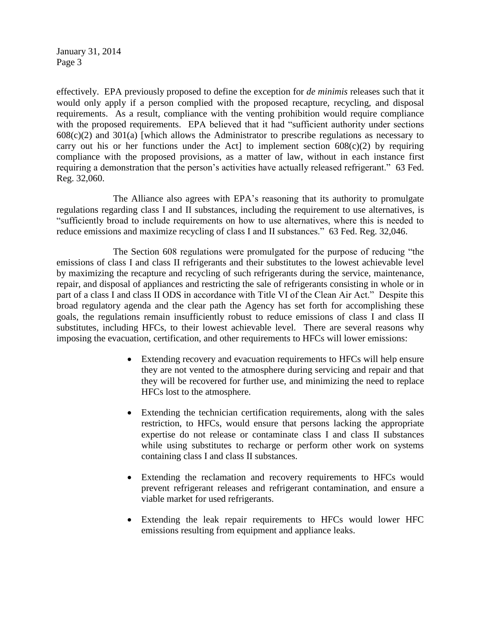January 31, 2014 Page 3

effectively. EPA previously proposed to define the exception for *de minimis* releases such that it would only apply if a person complied with the proposed recapture, recycling, and disposal requirements. As a result, compliance with the venting prohibition would require compliance with the proposed requirements. EPA believed that it had "sufficient authority under sections  $608(c)(2)$  and  $301(a)$  [which allows the Administrator to prescribe regulations as necessary to carry out his or her functions under the Act] to implement section  $608(c)(2)$  by requiring compliance with the proposed provisions, as a matter of law, without in each instance first requiring a demonstration that the person's activities have actually released refrigerant." 63 Fed. Reg. 32,060.

The Alliance also agrees with EPA's reasoning that its authority to promulgate regulations regarding class I and II substances, including the requirement to use alternatives, is "sufficiently broad to include requirements on how to use alternatives, where this is needed to reduce emissions and maximize recycling of class I and II substances." 63 Fed. Reg. 32,046.

The Section 608 regulations were promulgated for the purpose of reducing "the emissions of class I and class II refrigerants and their substitutes to the lowest achievable level by maximizing the recapture and recycling of such refrigerants during the service, maintenance, repair, and disposal of appliances and restricting the sale of refrigerants consisting in whole or in part of a class I and class II ODS in accordance with Title VI of the Clean Air Act." Despite this broad regulatory agenda and the clear path the Agency has set forth for accomplishing these goals, the regulations remain insufficiently robust to reduce emissions of class I and class II substitutes, including HFCs, to their lowest achievable level. There are several reasons why imposing the evacuation, certification, and other requirements to HFCs will lower emissions:

- Extending recovery and evacuation requirements to HFCs will help ensure they are not vented to the atmosphere during servicing and repair and that they will be recovered for further use, and minimizing the need to replace HFCs lost to the atmosphere.
- Extending the technician certification requirements, along with the sales restriction, to HFCs, would ensure that persons lacking the appropriate expertise do not release or contaminate class I and class II substances while using substitutes to recharge or perform other work on systems containing class I and class II substances.
- Extending the reclamation and recovery requirements to HFCs would prevent refrigerant releases and refrigerant contamination, and ensure a viable market for used refrigerants.
- Extending the leak repair requirements to HFCs would lower HFC emissions resulting from equipment and appliance leaks.